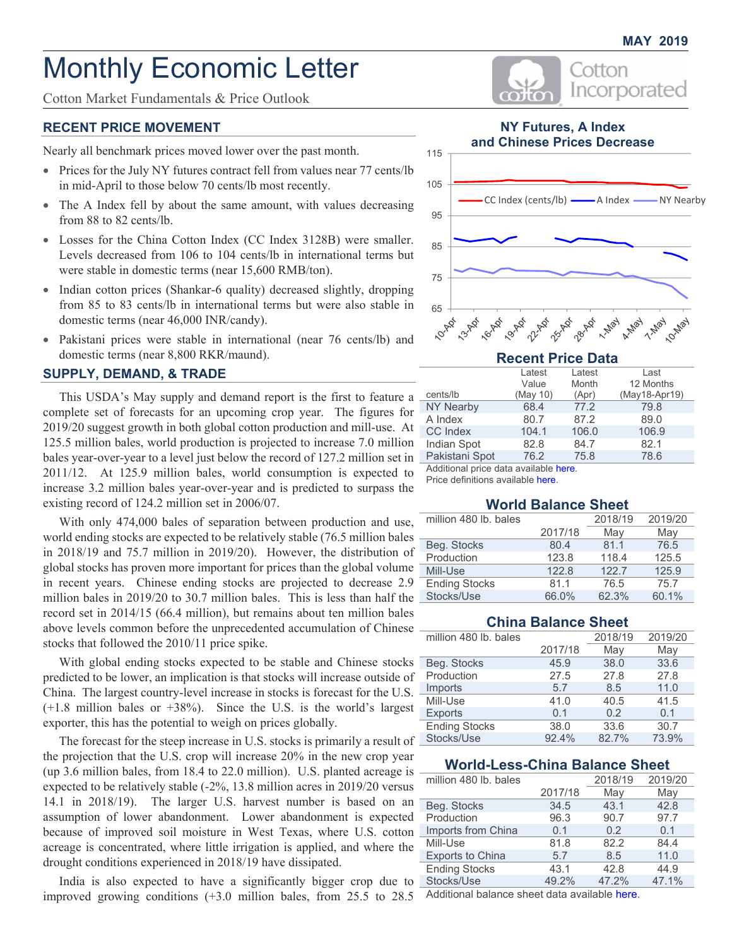# Monthly Economic Letter

Cotton Market Fundamentals & Price Outlook

### **RECENT PRICE MOVEMENT**

Nearly all benchmark prices moved lower over the past month.

- Prices for the July NY futures contract fell from values near 77 cents/lb in mid-April to those below 70 cents/lb most recently.
- The A Index fell by about the same amount, with values decreasing from 88 to 82 cents/lb.
- Losses for the China Cotton Index (CC Index 3128B) were smaller. Levels decreased from 106 to 104 cents/lb in international terms but were stable in domestic terms (near 15,600 RMB/ton).
- Indian cotton prices (Shankar-6 quality) decreased slightly, dropping from 85 to 83 cents/lb in international terms but were also stable in domestic terms (near 46,000 INR/candy).
- Pakistani prices were stable in international (near 76 cents/lb) and domestic terms (near 8,800 RKR/maund).

#### **SUPPLY, DEMAND, & TRADE**

This USDA's May supply and demand report is the first to feature a complete set of forecasts for an upcoming crop year. The figures for 2019/20 suggest growth in both global cotton production and mill-use. At 125.5 million bales, world production is projected to increase 7.0 million bales year-over-year to a level just below the record of 127.2 million set in 2011/12. At 125.9 million bales, world consumption is expected to increase 3.2 million bales year-over-year and is predicted to surpass the existing record of 124.2 million set in 2006/07.

With only 474,000 bales of separation between production and use, world ending stocks are expected to be relatively stable (76.5 million bales in 2018/19 and 75.7 million in 2019/20). However, the distribution of global stocks has proven more important for prices than the global volume in recent years. Chinese ending stocks are projected to decrease 2.9 million bales in 2019/20 to 30.7 million bales. This is less than half the record set in 2014/15 (66.4 million), but remains about ten million bales above levels common before the unprecedented accumulation of Chinese stocks that followed the 2010/11 price spike.

With global ending stocks expected to be stable and Chinese stocks predicted to be lower, an implication is that stocks will increase outside of China. The largest country-level increase in stocks is forecast for the U.S. (+1.8 million bales or +38%). Since the U.S. is the world's largest exporter, this has the potential to weigh on prices globally.

The forecast for the steep increase in U.S. stocks is primarily a result of the projection that the U.S. crop will increase 20% in the new crop year (up 3.6 million bales, from 18.4 to 22.0 million). U.S. planted acreage is expected to be relatively stable (-2%, 13.8 million acres in 2019/20 versus 14.1 in 2018/19). The larger U.S. harvest number is based on an assumption of lower abandonment. Lower abandonment is expected because of improved soil moisture in West Texas, where U.S. cotton acreage is concentrated, where little irrigation is applied, and where the drought conditions experienced in 2018/19 have dissipated.

India is also expected to have a significantly bigger crop due to improved growing conditions (+3.0 million bales, from 25.5 to 28.5



# **NY Futures, A Index and Chinese Prices Decrease**



## **Recent Price Data**

|                  | Latest   | Latest | Last          |
|------------------|----------|--------|---------------|
|                  | Value    | Month  | 12 Months     |
| cents/lb         | (May 10) | (Apr)  | (May18-Apr19) |
| <b>NY Nearby</b> | 68.4     | 77.2   | 79.8          |
| A Index          | 80.7     | 87.2   | 89.0          |
| <b>CC</b> Index  | 104.1    | 106.0  | 106.9         |
| Indian Spot      | 82.8     | 84.7   | 82.1          |
| Pakistani Spot   | 76.2     | 75.8   | 78.6          |

Additional price data available [here.](#page-2-0)

Price definitions available [here.](https://www.cottoninc.com/market-data/monthly-economic-newsletter/cotton-price-definitions/)

## **World Balance Sheet**

| million 480 lb. bales |         | 2018/19 | 2019/20 |
|-----------------------|---------|---------|---------|
|                       | 2017/18 | May     | May     |
| Beg. Stocks           | 80.4    | 81.1    | 76.5    |
| Production            | 123.8   | 118.4   | 125.5   |
| Mill-Use              | 122.8   | 122.7   | 125.9   |
| <b>Ending Stocks</b>  | 81.1    | 76.5    | 75.7    |
| Stocks/Use            | 66.0%   | 62.3%   | 60.1%   |

## **China Balance Sheet**

| million 480 lb. bales |         | 2018/19 | 2019/20 |
|-----------------------|---------|---------|---------|
|                       | 2017/18 | May     | May     |
| Beg. Stocks           | 45.9    | 38.0    | 33.6    |
| Production            | 27.5    | 27.8    | 27.8    |
| Imports               | 5.7     | 8.5     | 11.0    |
| Mill-Use              | 41.0    | 40.5    | 41.5    |
| <b>Exports</b>        | 0.1     | 0.2     | 0.1     |
| <b>Ending Stocks</b>  | 38.0    | 33.6    | 30.7    |
| Stocks/Use            | 92.4%   | 82.7%   | 73.9%   |

## **World-Less-China Balance Sheet**

| million 480 lb. bales   |         | 2018/19 | 2019/20 |
|-------------------------|---------|---------|---------|
|                         | 2017/18 | May     | May     |
| Beg. Stocks             | 34.5    | 43.1    | 42.8    |
| Production              | 96.3    | 90.7    | 97.7    |
| Imports from China      | 0.1     | 0.2     | 0.1     |
| Mill-Use                | 81.8    | 82.2    | 84.4    |
| <b>Exports to China</b> | 5.7     | 8.5     | 11.0    |
| <b>Ending Stocks</b>    | 43.1    | 42.8    | 44.9    |
| Stocks/Use              | 49.2%   | 47.2%   | 47.1%   |

Additional balance sheet data available [here.](#page-6-0)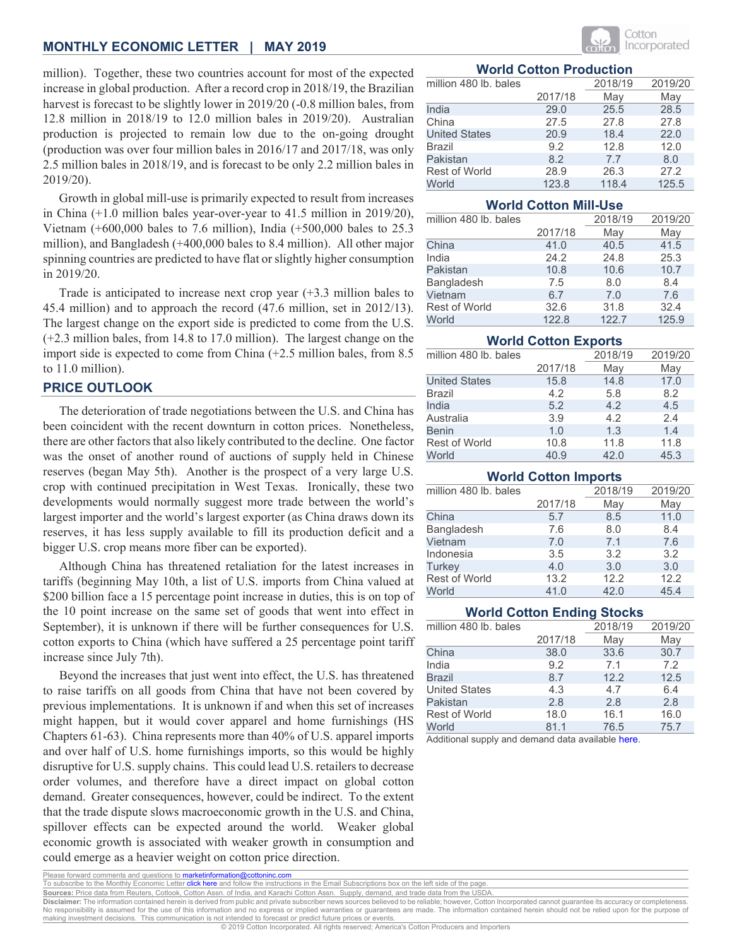million). Together, these two countries account for most of the expected increase in global production. After a record crop in 2018/19, the Brazilian harvest is forecast to be slightly lower in 2019/20 (-0.8 million bales, from 12.8 million in 2018/19 to 12.0 million bales in 2019/20). Australian production is projected to remain low due to the on-going drought (production was over four million bales in 2016/17 and 2017/18, was only 2.5 million bales in 2018/19, and is forecast to be only 2.2 million bales in 2019/20).

Growth in global mill-use is primarily expected to result from increases in China (+1.0 million bales year-over-year to 41.5 million in 2019/20), Vietnam (+600,000 bales to 7.6 million), India (+500,000 bales to 25.3 million), and Bangladesh (+400,000 bales to 8.4 million). All other major spinning countries are predicted to have flat or slightly higher consumption in 2019/20.

Trade is anticipated to increase next crop year (+3.3 million bales to 45.4 million) and to approach the record (47.6 million, set in 2012/13). The largest change on the export side is predicted to come from the U.S. (+2.3 million bales, from 14.8 to 17.0 million). The largest change on the import side is expected to come from China (+2.5 million bales, from 8.5 to 11.0 million).

# **PRICE OUTLOOK**

The deterioration of trade negotiations between the U.S. and China has been coincident with the recent downturn in cotton prices. Nonetheless, there are other factors that also likely contributed to the decline. One factor was the onset of another round of auctions of supply held in Chinese reserves (began May 5th). Another is the prospect of a very large U.S. crop with continued precipitation in West Texas. Ironically, these two developments would normally suggest more trade between the world's largest importer and the world's largest exporter (as China draws down its reserves, it has less supply available to fill its production deficit and a bigger U.S. crop means more fiber can be exported).

Although China has threatened retaliation for the latest increases in tariffs (beginning May 10th, a list of U.S. imports from China valued at \$200 billion face a 15 percentage point increase in duties, this is on top of the 10 point increase on the same set of goods that went into effect in September), it is unknown if there will be further consequences for U.S. cotton exports to China (which have suffered a 25 percentage point tariff increase since July 7th).

Beyond the increases that just went into effect, the U.S. has threatened to raise tariffs on all goods from China that have not been covered by previous implementations. It is unknown if and when this set of increases might happen, but it would cover apparel and home furnishings (HS Chapters 61-63). China represents more than 40% of U.S. apparel imports and over half of U.S. home furnishings imports, so this would be highly disruptive for U.S. supply chains. This could lead U.S. retailers to decrease order volumes, and therefore have a direct impact on global cotton demand. Greater consequences, however, could be indirect. To the extent that the trade dispute slows macroeconomic growth in the U.S. and China, spillover effects can be expected around the world. Weaker global economic growth is associated with weaker growth in consumption and could emerge as a heavier weight on cotton price direction.



### **World Cotton Production**

| million 480 lb. bales |         | 2018/19 | 2019/20 |
|-----------------------|---------|---------|---------|
|                       | 2017/18 | May     | May     |
| India                 | 29.0    | 25.5    | 28.5    |
| China                 | 27.5    | 27.8    | 27.8    |
| <b>United States</b>  | 20.9    | 18.4    | 22.0    |
| <b>Brazil</b>         | 9.2     | 12.8    | 12.0    |
| Pakistan              | 8.2     | 7.7     | 8.0     |
| <b>Rest of World</b>  | 28.9    | 26.3    | 27.2    |
| World                 | 123.8   | 118.4   | 125.5   |

#### **World Cotton Mill-Use**

| million 480 lb. bales |         | 2018/19 | 2019/20 |
|-----------------------|---------|---------|---------|
|                       | 2017/18 | May     | May     |
| China                 | 41.0    | 40.5    | 41.5    |
| India                 | 24.2    | 24.8    | 25.3    |
| Pakistan              | 10.8    | 10.6    | 10.7    |
| Bangladesh            | 7.5     | 8.0     | 8.4     |
| Vietnam               | 6.7     | 7.0     | 7.6     |
| <b>Rest of World</b>  | 32.6    | 31.8    | 32.4    |
| World                 | 122.8   | 122.7   | 125.9   |

#### **World Cotton Exports**

| million 480 lb. bales |         | 2018/19 | 2019/20 |
|-----------------------|---------|---------|---------|
|                       | 2017/18 | May     | May     |
| <b>United States</b>  | 15.8    | 14.8    | 17.0    |
| Brazil                | 4.2     | 5.8     | 8.2     |
| India                 | 5.2     | 4.2     | 4.5     |
| Australia             | 3.9     | 4.2     | 2.4     |
| <b>Benin</b>          | 1.0     | 1.3     | 1.4     |
| <b>Rest of World</b>  | 10.8    | 11.8    | 11.8    |
| World                 | 40.9    | 42.0    | 45.3    |

#### **World Cotton Imports**

| million 480 lb. bales |         | 2018/19 | 2019/20 |
|-----------------------|---------|---------|---------|
|                       | 2017/18 | May     | May     |
| China                 | 5.7     | 8.5     | 11.0    |
| Bangladesh            | 7.6     | 8.0     | 8.4     |
| Vietnam               | 7.0     | 7.1     | 7.6     |
| Indonesia             | 3.5     | 3.2     | 3.2     |
| <b>Turkey</b>         | 4.0     | 3.0     | 3.0     |
| <b>Rest of World</b>  | 13.2    | 12.2    | 12.2    |
| World                 | 41.0    | 42.0    | 45.4    |

## **World Cotton Ending Stocks**

| million 480 lb. bales |         | 2018/19 | 2019/20 |
|-----------------------|---------|---------|---------|
|                       | 2017/18 | May     | May     |
| China                 | 38.0    | 33.6    | 30.7    |
| India                 | 9.2     | 7.1     | 7.2     |
| <b>Brazil</b>         | 8.7     | 12.2    | 12.5    |
| <b>United States</b>  | 4.3     | 4.7     | 6.4     |
| Pakistan              | 2.8     | 2.8     | 2.8     |
| <b>Rest of World</b>  | 18.0    | 16.1    | 16.0    |
| World                 | 81.1    | 76.5    | 75.7    |

Additional supply and demand data available [here.](#page-8-0)

Please forward comments and questions to <mark>marketinformation@cottoninc</mark><br>To subscribe to the Monthly Economic Lett<mark>er click here</mark> and follow the insi ck here and follow the instructions in the Email Subscriptions box on the left side of the page

**Sources:** Price data from Reuters, Cotlook, Cotton Assn. of India, and Karachi Cotton Assn. Supply, demand, and trade data from the USDA.

**Disclaimer:** The information contained herein is derived from public and private subscriber news sources believed to be reliable; however, Cotton Incorporated cannot guarantee its accuracy or completeness.<br>No responsibili making investment decisions. This communication is not intended to forecast or predict future prices or events.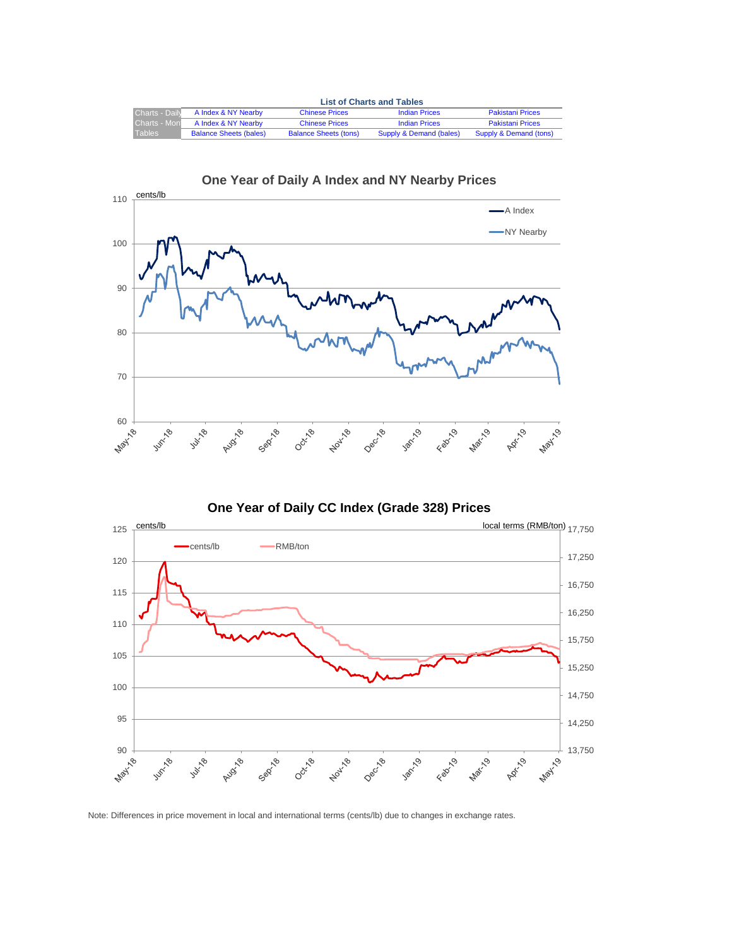<span id="page-2-0"></span>

|                       | <b>List of Charts and Tables</b> |                              |                         |                         |  |  |  |  |
|-----------------------|----------------------------------|------------------------------|-------------------------|-------------------------|--|--|--|--|
| <b>Charts - Daily</b> | A Index & NY Nearby              | <b>Chinese Prices</b>        | <b>Indian Prices</b>    | <b>Pakistani Prices</b> |  |  |  |  |
| <b>Charts - Mon</b>   | A Index & NY Nearby              | <b>Chinese Prices</b>        | <b>Indian Prices</b>    | <b>Pakistani Prices</b> |  |  |  |  |
| <b>Tables</b>         | <b>Balance Sheets (bales)</b>    | <b>Balance Sheets (tons)</b> | Supply & Demand (bales) | Supply & Demand (tons)  |  |  |  |  |





# **One Year of Daily A Index and NY Nearby Prices**

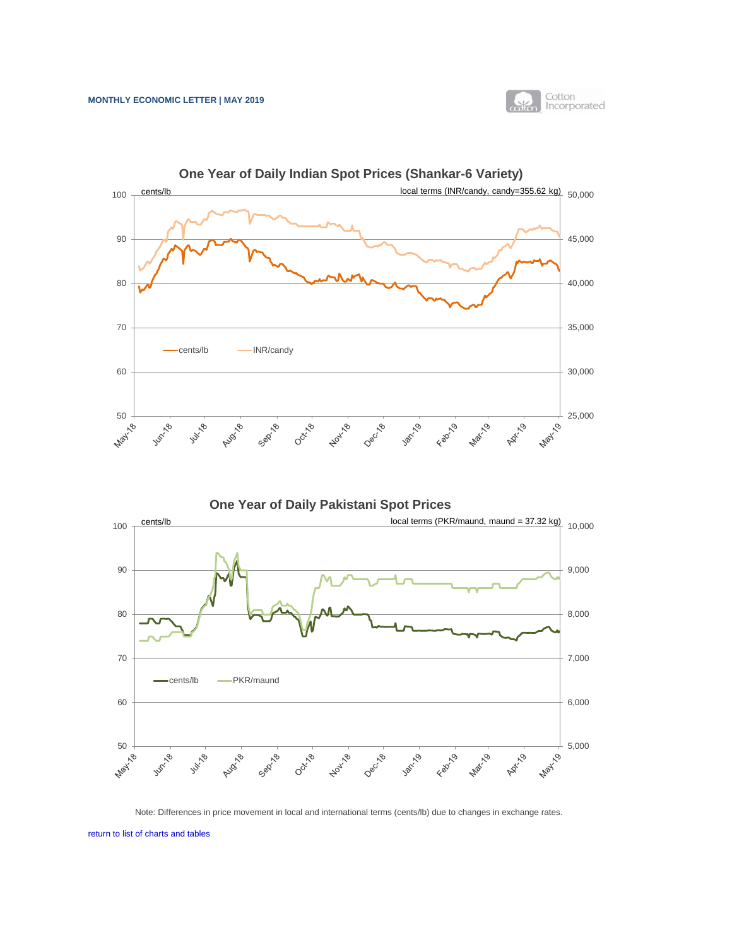



<span id="page-3-0"></span>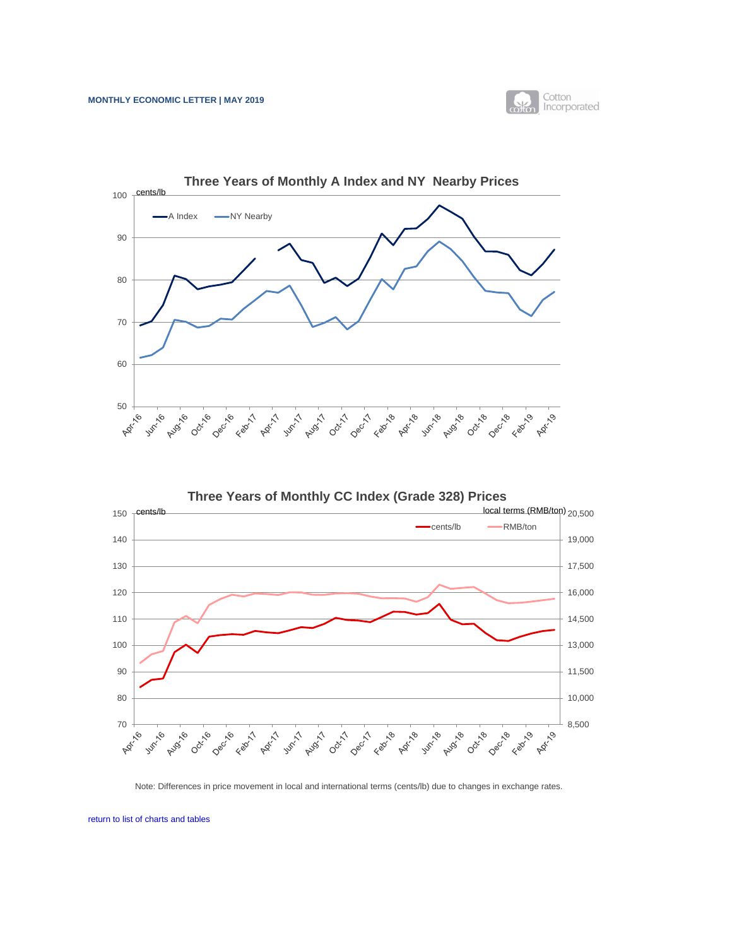



<span id="page-4-0"></span>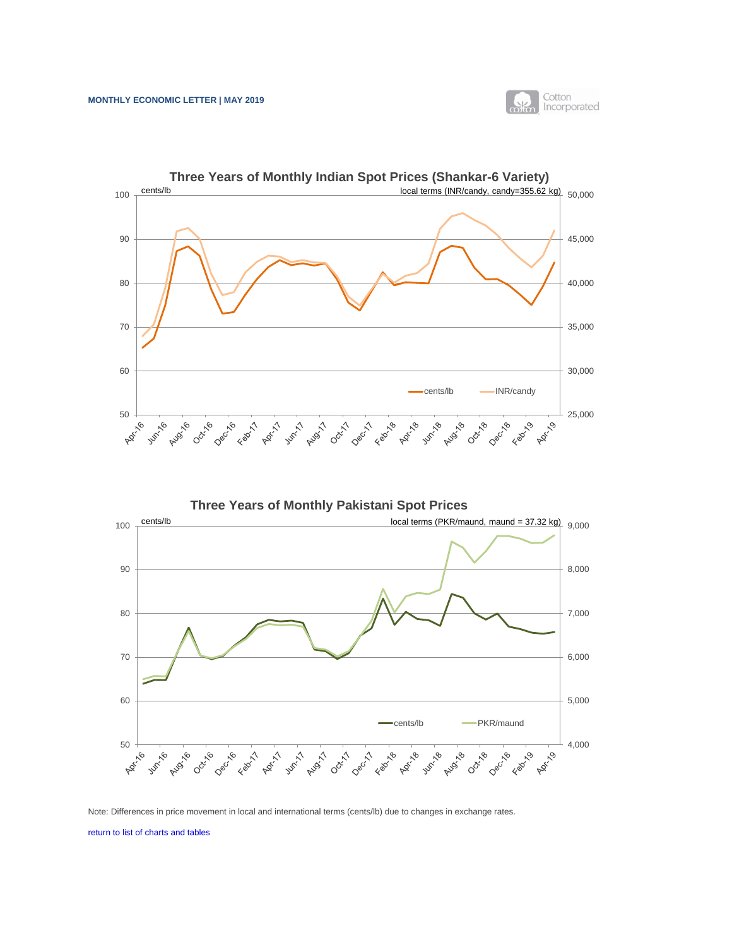

<span id="page-5-0"></span>

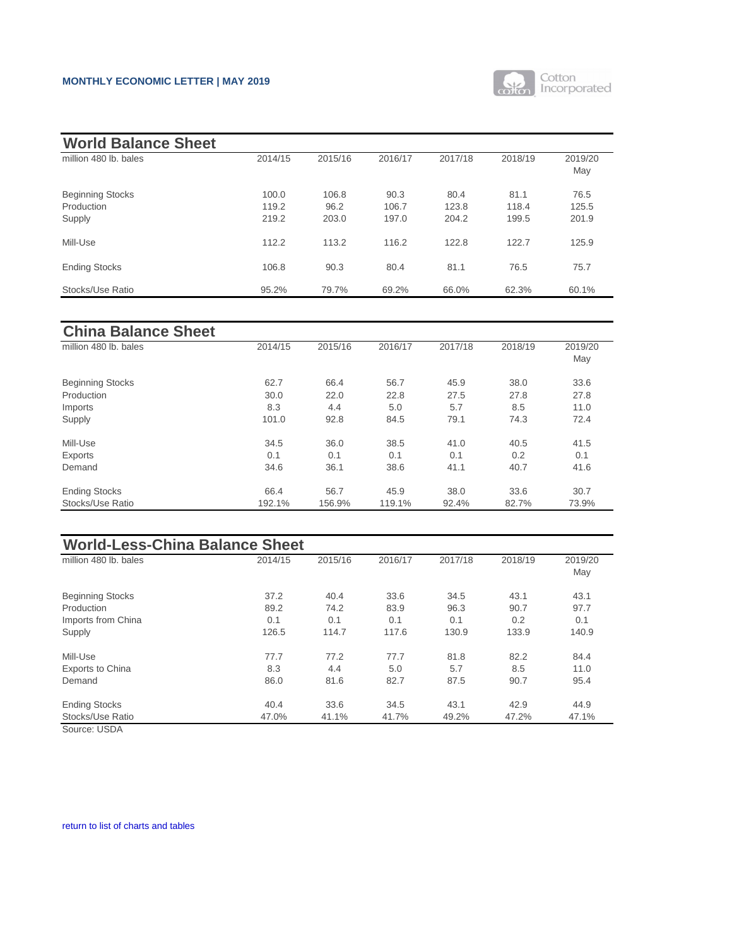

<span id="page-6-0"></span>

| <b>World Balance Sheet</b>                      |                         |                        |                        |                        |                        |                        |
|-------------------------------------------------|-------------------------|------------------------|------------------------|------------------------|------------------------|------------------------|
| million 480 lb. bales                           | 2014/15                 | 2015/16                | 2016/17                | 2017/18                | 2018/19                | 2019/20<br>May         |
| <b>Beginning Stocks</b><br>Production<br>Supply | 100.0<br>119.2<br>219.2 | 106.8<br>96.2<br>203.0 | 90.3<br>106.7<br>197.0 | 80.4<br>123.8<br>204.2 | 81.1<br>118.4<br>199.5 | 76.5<br>125.5<br>201.9 |
| Mill-Use                                        | 112.2                   | 113.2                  | 116.2                  | 122.8                  | 122.7                  | 125.9                  |
| <b>Ending Stocks</b>                            | 106.8                   | 90.3                   | 80.4                   | 81.1                   | 76.5                   | 75.7                   |
| <b>Stocks/Use Ratio</b>                         | 95.2%                   | 79.7%                  | 69.2%                  | 66.0%                  | 62.3%                  | 60.1%                  |

| <b>China Balance Sheet</b> |         |         |         |         |         |                |
|----------------------------|---------|---------|---------|---------|---------|----------------|
| million 480 lb. bales      | 2014/15 | 2015/16 | 2016/17 | 2017/18 | 2018/19 | 2019/20<br>May |
| <b>Beginning Stocks</b>    | 62.7    | 66.4    | 56.7    | 45.9    | 38.0    | 33.6           |
| Production                 | 30.0    | 22.0    | 22.8    | 27.5    | 27.8    | 27.8           |
| Imports                    | 8.3     | 4.4     | 5.0     | 5.7     | 8.5     | 11.0           |
| Supply                     | 101.0   | 92.8    | 84.5    | 79.1    | 74.3    | 72.4           |
| Mill-Use                   | 34.5    | 36.0    | 38.5    | 41.0    | 40.5    | 41.5           |
| <b>Exports</b>             | 0.1     | 0.1     | 0.1     | 0.1     | 0.2     | 0.1            |
| Demand                     | 34.6    | 36.1    | 38.6    | 41.1    | 40.7    | 41.6           |
| <b>Ending Stocks</b>       | 66.4    | 56.7    | 45.9    | 38.0    | 33.6    | 30.7           |
| Stocks/Use Ratio           | 192.1%  | 156.9%  | 119.1%  | 92.4%   | 82.7%   | 73.9%          |

| <b>World-Less-China Balance Sheet</b> |         |         |         |         |         |                |  |  |
|---------------------------------------|---------|---------|---------|---------|---------|----------------|--|--|
| million 480 lb. bales                 | 2014/15 | 2015/16 | 2016/17 | 2017/18 | 2018/19 | 2019/20<br>May |  |  |
| <b>Beginning Stocks</b>               | 37.2    | 40.4    | 33.6    | 34.5    | 43.1    | 43.1           |  |  |
| Production                            | 89.2    | 74.2    | 83.9    | 96.3    | 90.7    | 97.7           |  |  |
| Imports from China                    | 0.1     | 0.1     | 0.1     | 0.1     | 0.2     | 0.1            |  |  |
| Supply                                | 126.5   | 114.7   | 117.6   | 130.9   | 133.9   | 140.9          |  |  |
| Mill-Use                              | 77.7    | 77.2    | 77.7    | 81.8    | 82.2    | 84.4           |  |  |
| <b>Exports to China</b>               | 8.3     | 4.4     | 5.0     | 5.7     | 8.5     | 11.0           |  |  |
| Demand                                | 86.0    | 81.6    | 82.7    | 87.5    | 90.7    | 95.4           |  |  |
| <b>Ending Stocks</b>                  | 40.4    | 33.6    | 34.5    | 43.1    | 42.9    | 44.9           |  |  |
| Stocks/Use Ratio                      | 47.0%   | 41.1%   | 41.7%   | 49.2%   | 47.2%   | 47.1%          |  |  |

Source: USDA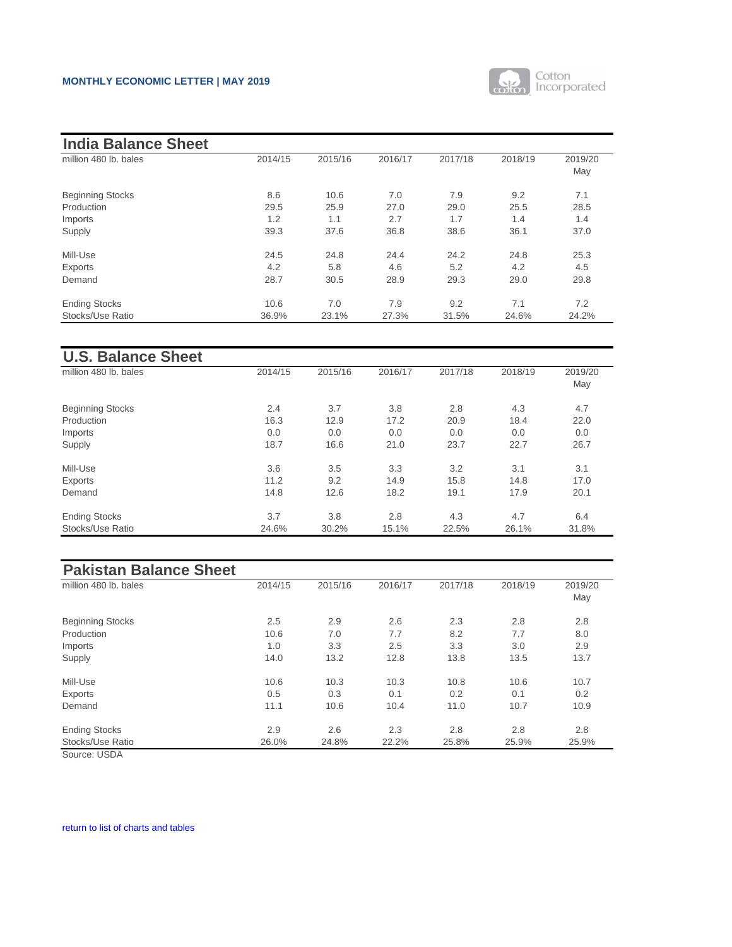

| <b>India Balance Sheet</b> |         |         |         |         |         |                |
|----------------------------|---------|---------|---------|---------|---------|----------------|
| million 480 lb. bales      | 2014/15 | 2015/16 | 2016/17 | 2017/18 | 2018/19 | 2019/20<br>May |
| <b>Beginning Stocks</b>    | 8.6     | 10.6    | 7.0     | 7.9     | 9.2     | 7.1            |
| Production                 | 29.5    | 25.9    | 27.0    | 29.0    | 25.5    | 28.5           |
| Imports                    | 1.2     | 1.1     | 2.7     | 1.7     | 1.4     | 1.4            |
| Supply                     | 39.3    | 37.6    | 36.8    | 38.6    | 36.1    | 37.0           |
| Mill-Use                   | 24.5    | 24.8    | 24.4    | 24.2    | 24.8    | 25.3           |
| <b>Exports</b>             | 4.2     | 5.8     | 4.6     | 5.2     | 4.2     | 4.5            |
| Demand                     | 28.7    | 30.5    | 28.9    | 29.3    | 29.0    | 29.8           |
| <b>Ending Stocks</b>       | 10.6    | 7.0     | 7.9     | 9.2     | 7.1     | 7.2            |
| Stocks/Use Ratio           | 36.9%   | 23.1%   | 27.3%   | 31.5%   | 24.6%   | 24.2%          |

| <b>U.S. Balance Sheet</b> |         |         |         |         |         |         |
|---------------------------|---------|---------|---------|---------|---------|---------|
| million 480 lb. bales     | 2014/15 | 2015/16 | 2016/17 | 2017/18 | 2018/19 | 2019/20 |
|                           |         |         |         |         |         | May     |
| <b>Beginning Stocks</b>   | 2.4     | 3.7     | 3.8     | 2.8     | 4.3     | 4.7     |
| Production                | 16.3    | 12.9    | 17.2    | 20.9    | 18.4    | 22.0    |
| Imports                   | 0.0     | 0.0     | 0.0     | 0.0     | 0.0     | 0.0     |
| Supply                    | 18.7    | 16.6    | 21.0    | 23.7    | 22.7    | 26.7    |
| Mill-Use                  | 3.6     | 3.5     | 3.3     | 3.2     | 3.1     | 3.1     |
| <b>Exports</b>            | 11.2    | 9.2     | 14.9    | 15.8    | 14.8    | 17.0    |
| Demand                    | 14.8    | 12.6    | 18.2    | 19.1    | 17.9    | 20.1    |
| <b>Ending Stocks</b>      | 3.7     | 3.8     | 2.8     | 4.3     | 4.7     | 6.4     |
| Stocks/Use Ratio          | 24.6%   | 30.2%   | 15.1%   | 22.5%   | 26.1%   | 31.8%   |

| <b>Pakistan Balance Sheet</b> |         |         |         |         |         |                |
|-------------------------------|---------|---------|---------|---------|---------|----------------|
| million 480 lb. bales         | 2014/15 | 2015/16 | 2016/17 | 2017/18 | 2018/19 | 2019/20<br>May |
| <b>Beginning Stocks</b>       | 2.5     | 2.9     | 2.6     | 2.3     | 2.8     | 2.8            |
| Production                    | 10.6    | 7.0     | 7.7     | 8.2     | 7.7     | 8.0            |
| Imports                       | 1.0     | 3.3     | 2.5     | 3.3     | 3.0     | 2.9            |
| Supply                        | 14.0    | 13.2    | 12.8    | 13.8    | 13.5    | 13.7           |
| Mill-Use                      | 10.6    | 10.3    | 10.3    | 10.8    | 10.6    | 10.7           |
| <b>Exports</b>                | 0.5     | 0.3     | 0.1     | 0.2     | 0.1     | 0.2            |
| Demand                        | 11.1    | 10.6    | 10.4    | 11.0    | 10.7    | 10.9           |
| <b>Ending Stocks</b>          | 2.9     | 2.6     | 2.3     | 2.8     | 2.8     | 2.8            |
| Stocks/Use Ratio              | 26.0%   | 24.8%   | 22.2%   | 25.8%   | 25.9%   | 25.9%          |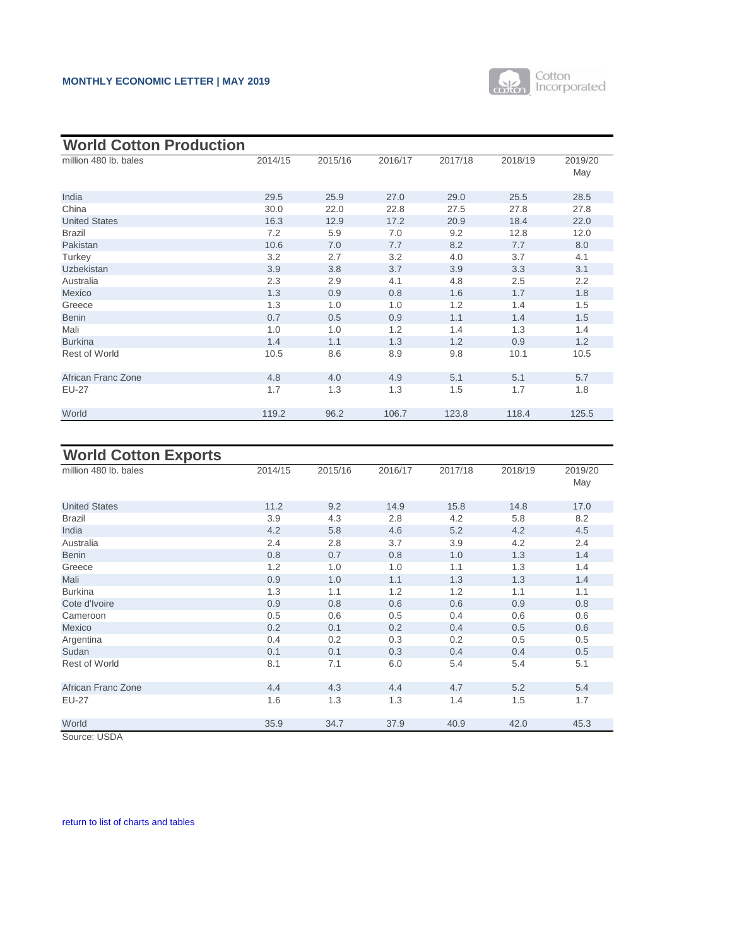

<span id="page-8-0"></span>

| <b>World Cotton Production</b> |         |         |         |         |         |                |
|--------------------------------|---------|---------|---------|---------|---------|----------------|
| million 480 lb. bales          | 2014/15 | 2015/16 | 2016/17 | 2017/18 | 2018/19 | 2019/20<br>May |
| India                          | 29.5    | 25.9    | 27.0    | 29.0    | 25.5    | 28.5           |
| China                          | 30.0    | 22.0    | 22.8    | 27.5    | 27.8    | 27.8           |
| <b>United States</b>           | 16.3    | 12.9    | 17.2    | 20.9    | 18.4    | 22.0           |
| <b>Brazil</b>                  | 7.2     | 5.9     | 7.0     | 9.2     | 12.8    | 12.0           |
| Pakistan                       | 10.6    | 7.0     | 7.7     | 8.2     | 7.7     | 8.0            |
| Turkey                         | 3.2     | 2.7     | 3.2     | 4.0     | 3.7     | 4.1            |
| <b>Uzbekistan</b>              | 3.9     | 3.8     | 3.7     | 3.9     | 3.3     | 3.1            |
| Australia                      | 2.3     | 2.9     | 4.1     | 4.8     | 2.5     | 2.2            |
| Mexico                         | 1.3     | 0.9     | 0.8     | 1.6     | 1.7     | 1.8            |
| Greece                         | 1.3     | 1.0     | 1.0     | 1.2     | 1.4     | 1.5            |
| <b>Benin</b>                   | 0.7     | 0.5     | 0.9     | 1.1     | 1.4     | 1.5            |
| Mali                           | 1.0     | 1.0     | 1.2     | 1.4     | 1.3     | 1.4            |
| <b>Burkina</b>                 | 1.4     | 1.1     | 1.3     | 1.2     | 0.9     | 1.2            |
| <b>Rest of World</b>           | 10.5    | 8.6     | 8.9     | 9.8     | 10.1    | 10.5           |
| <b>African Franc Zone</b>      | 4.8     | 4.0     | 4.9     | 5.1     | 5.1     | 5.7            |
| <b>EU-27</b>                   | 1.7     | 1.3     | 1.3     | 1.5     | 1.7     | 1.8            |
| World                          | 119.2   | 96.2    | 106.7   | 123.8   | 118.4   | 125.5          |

# **World Cotton Exports**

| million 480 lb. bales     | 2014/15 | 2015/16 | 2016/17 | 2017/18 | 2018/19 | 2019/20<br>May |
|---------------------------|---------|---------|---------|---------|---------|----------------|
| <b>United States</b>      | 11.2    | 9.2     | 14.9    | 15.8    | 14.8    | 17.0           |
| <b>Brazil</b>             | 3.9     | 4.3     | 2.8     | 4.2     | 5.8     | 8.2            |
| India                     | 4.2     | 5.8     | 4.6     | 5.2     | 4.2     | 4.5            |
| Australia                 | 2.4     | 2.8     | 3.7     | 3.9     | 4.2     | 2.4            |
| <b>Benin</b>              | 0.8     | 0.7     | 0.8     | 1.0     | 1.3     | 1.4            |
| Greece                    | 1.2     | 1.0     | 1.0     | 1.1     | 1.3     | 1.4            |
| Mali                      | 0.9     | 1.0     | 1.1     | 1.3     | 1.3     | 1.4            |
| <b>Burkina</b>            | 1.3     | 1.1     | 1.2     | 1.2     | 1.1     | 1.1            |
| Cote d'Ivoire             | 0.9     | 0.8     | 0.6     | 0.6     | 0.9     | 0.8            |
| Cameroon                  | 0.5     | 0.6     | 0.5     | 0.4     | 0.6     | 0.6            |
| Mexico                    | 0.2     | 0.1     | 0.2     | 0.4     | 0.5     | 0.6            |
| Argentina                 | 0.4     | 0.2     | 0.3     | 0.2     | 0.5     | 0.5            |
| Sudan                     | 0.1     | 0.1     | 0.3     | 0.4     | 0.4     | 0.5            |
| <b>Rest of World</b>      | 8.1     | 7.1     | 6.0     | 5.4     | 5.4     | 5.1            |
| <b>African Franc Zone</b> | 4.4     | 4.3     | 4.4     | 4.7     | 5.2     | 5.4            |
| <b>EU-27</b>              | 1.6     | 1.3     | 1.3     | 1.4     | 1.5     | 1.7            |
| World                     | 35.9    | 34.7    | 37.9    | 40.9    | 42.0    | 45.3           |

Source: USDA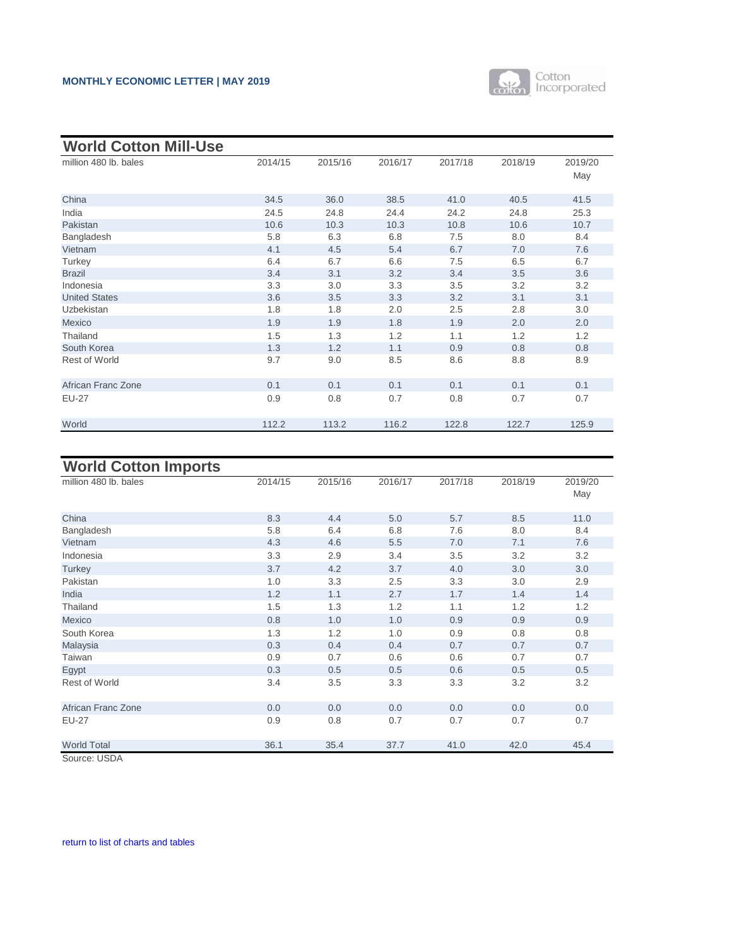

| 2014/15 | 2015/16      | 2016/17 | 2017/18 | 2018/19 | 2019/20      |
|---------|--------------|---------|---------|---------|--------------|
|         |              |         |         |         | May          |
|         |              |         |         |         |              |
|         |              |         |         |         | 41.5         |
|         | 24.8         | 24.4    | 24.2    |         | 25.3         |
| 10.6    | 10.3         | 10.3    | 10.8    | 10.6    | 10.7         |
| 5.8     | 6.3          | 6.8     | 7.5     | 8.0     | 8.4          |
| 4.1     | 4.5          | 5.4     | 6.7     | 7.0     | 7.6          |
| 6.4     | 6.7          | 6.6     | 7.5     | 6.5     | 6.7          |
| 3.4     | 3.1          | 3.2     | 3.4     | 3.5     | 3.6          |
| 3.3     | 3.0          | 3.3     | 3.5     | 3.2     | 3.2          |
| 3.6     | 3.5          | 3.3     | 3.2     | 3.1     | 3.1          |
| 1.8     | 1.8          | 2.0     | 2.5     | 2.8     | 3.0          |
| 1.9     | 1.9          | 1.8     | 1.9     | 2.0     | 2.0          |
| 1.5     | 1.3          | 1.2     | 1.1     | 1.2     | 1.2          |
| 1.3     | 1.2          | 1.1     | 0.9     | 0.8     | 0.8          |
| 9.7     | 9.0          | 8.5     | 8.6     | 8.8     | 8.9          |
|         |              |         |         |         |              |
| 0.1     | 0.1          | 0.1     | 0.1     | 0.1     | 0.1          |
| 0.9     | 0.8          | 0.7     | 0.8     | 0.7     | 0.7          |
|         |              |         |         |         |              |
| 112.2   | 113.2        | 116.2   | 122.8   | 122.7   | 125.9        |
|         | 34.5<br>24.5 | 36.0    | 38.5    | 41.0    | 40.5<br>24.8 |

# **World Cotton Imports**

| ----------------          |         |         |         |         |         |                |
|---------------------------|---------|---------|---------|---------|---------|----------------|
| million 480 lb. bales     | 2014/15 | 2015/16 | 2016/17 | 2017/18 | 2018/19 | 2019/20<br>May |
| China                     | 8.3     | 4.4     | 5.0     | 5.7     | 8.5     | 11.0           |
| Bangladesh                | 5.8     | 6.4     | 6.8     | 7.6     | 8.0     | 8.4            |
| Vietnam                   | 4.3     | 4.6     | 5.5     | 7.0     | 7.1     | 7.6            |
| Indonesia                 | 3.3     | 2.9     | 3.4     | 3.5     | 3.2     | 3.2            |
| Turkey                    | 3.7     | 4.2     | 3.7     | 4.0     | 3.0     | 3.0            |
| Pakistan                  | 1.0     | 3.3     | 2.5     | 3.3     | 3.0     | 2.9            |
| India                     | 1.2     | 1.1     | 2.7     | 1.7     | 1.4     | 1.4            |
| Thailand                  | 1.5     | 1.3     | 1.2     | 1.1     | 1.2     | 1.2            |
| Mexico                    | 0.8     | 1.0     | 1.0     | 0.9     | 0.9     | 0.9            |
| South Korea               | 1.3     | 1.2     | 1.0     | 0.9     | 0.8     | 0.8            |
| Malaysia                  | 0.3     | 0.4     | 0.4     | 0.7     | 0.7     | 0.7            |
| <b>Taiwan</b>             | 0.9     | 0.7     | 0.6     | 0.6     | 0.7     | 0.7            |
| Egypt                     | 0.3     | 0.5     | 0.5     | 0.6     | 0.5     | 0.5            |
| <b>Rest of World</b>      | 3.4     | 3.5     | 3.3     | 3.3     | 3.2     | 3.2            |
| <b>African Franc Zone</b> | 0.0     | 0.0     | 0.0     | 0.0     | 0.0     | 0.0            |
| <b>EU-27</b>              | 0.9     | 0.8     | 0.7     | 0.7     | 0.7     | 0.7            |
| <b>World Total</b>        | 36.1    | 35.4    | 37.7    | 41.0    | 42.0    | 45.4           |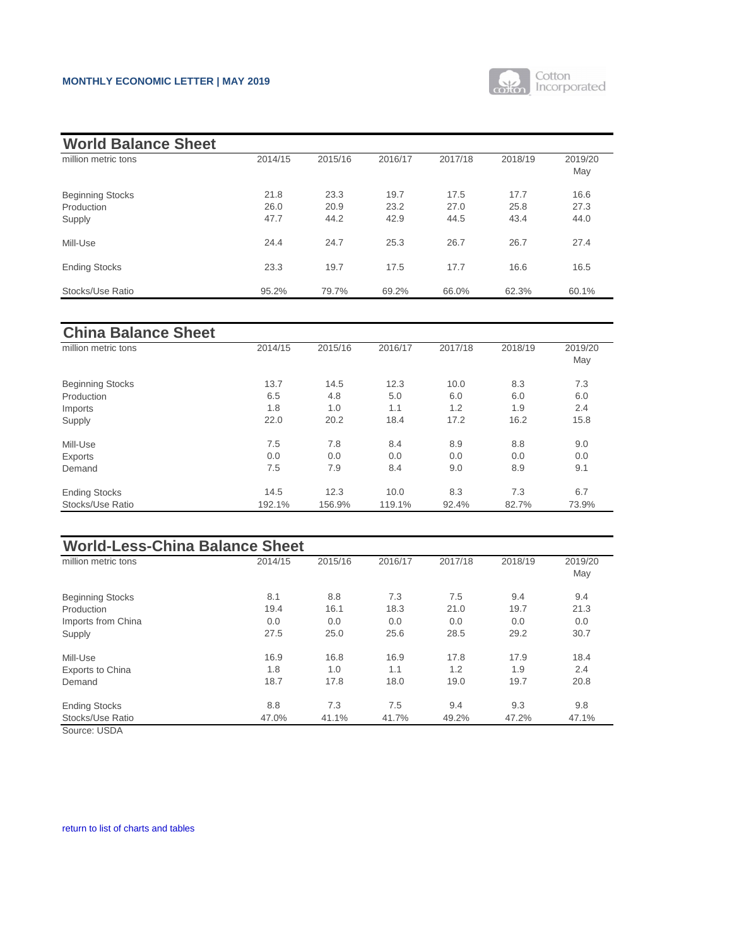

<span id="page-10-0"></span>

| <b>World Balance Sheet</b> |         |         |         |         |         |                |
|----------------------------|---------|---------|---------|---------|---------|----------------|
| million metric tons        | 2014/15 | 2015/16 | 2016/17 | 2017/18 | 2018/19 | 2019/20<br>May |
| <b>Beginning Stocks</b>    | 21.8    | 23.3    | 19.7    | 17.5    | 17.7    | 16.6           |
| Production                 | 26.0    | 20.9    | 23.2    | 27.0    | 25.8    | 27.3           |
| Supply                     | 47.7    | 44.2    | 42.9    | 44.5    | 43.4    | 44.0           |
| Mill-Use                   | 24.4    | 24.7    | 25.3    | 26.7    | 26.7    | 27.4           |
| <b>Ending Stocks</b>       | 23.3    | 19.7    | 17.5    | 17.7    | 16.6    | 16.5           |
| Stocks/Use Ratio           | 95.2%   | 79.7%   | 69.2%   | 66.0%   | 62.3%   | 60.1%          |

| <b>China Balance Sheet</b> |         |         |         |         |         |         |
|----------------------------|---------|---------|---------|---------|---------|---------|
| million metric tons        | 2014/15 | 2015/16 | 2016/17 | 2017/18 | 2018/19 | 2019/20 |
|                            |         |         |         |         |         | May     |
| <b>Beginning Stocks</b>    | 13.7    | 14.5    | 12.3    | 10.0    | 8.3     | 7.3     |
| Production                 | 6.5     | 4.8     | 5.0     | 6.0     | 6.0     | 6.0     |
| Imports                    | 1.8     | 1.0     | 1.1     | 1.2     | 1.9     | 2.4     |
| Supply                     | 22.0    | 20.2    | 18.4    | 17.2    | 16.2    | 15.8    |
| Mill-Use                   | 7.5     | 7.8     | 8.4     | 8.9     | 8.8     | 9.0     |
| <b>Exports</b>             | 0.0     | 0.0     | 0.0     | 0.0     | 0.0     | 0.0     |
| Demand                     | 7.5     | 7.9     | 8.4     | 9.0     | 8.9     | 9.1     |
| <b>Ending Stocks</b>       | 14.5    | 12.3    | 10.0    | 8.3     | 7.3     | 6.7     |
| Stocks/Use Ratio           | 192.1%  | 156.9%  | 119.1%  | 92.4%   | 82.7%   | 73.9%   |

| <b>World-Less-China Balance Sheet</b> |         |         |         |         |         |                |  |  |
|---------------------------------------|---------|---------|---------|---------|---------|----------------|--|--|
| million metric tons                   | 2014/15 | 2015/16 | 2016/17 | 2017/18 | 2018/19 | 2019/20<br>May |  |  |
| <b>Beginning Stocks</b>               | 8.1     | 8.8     | 7.3     | 7.5     | 9.4     | 9.4            |  |  |
| Production                            | 19.4    | 16.1    | 18.3    | 21.0    | 19.7    | 21.3           |  |  |
| Imports from China                    | 0.0     | 0.0     | 0.0     | 0.0     | 0.0     | 0.0            |  |  |
| Supply                                | 27.5    | 25.0    | 25.6    | 28.5    | 29.2    | 30.7           |  |  |
| Mill-Use                              | 16.9    | 16.8    | 16.9    | 17.8    | 17.9    | 18.4           |  |  |
| <b>Exports to China</b>               | 1.8     | 1.0     | 1.1     | 1.2     | 1.9     | 2.4            |  |  |
| Demand                                | 18.7    | 17.8    | 18.0    | 19.0    | 19.7    | 20.8           |  |  |
| <b>Ending Stocks</b>                  | 8.8     | 7.3     | 7.5     | 9.4     | 9.3     | 9.8            |  |  |
| <b>Stocks/Use Ratio</b>               | 47.0%   | 41.1%   | 41.7%   | 49.2%   | 47.2%   | 47.1%          |  |  |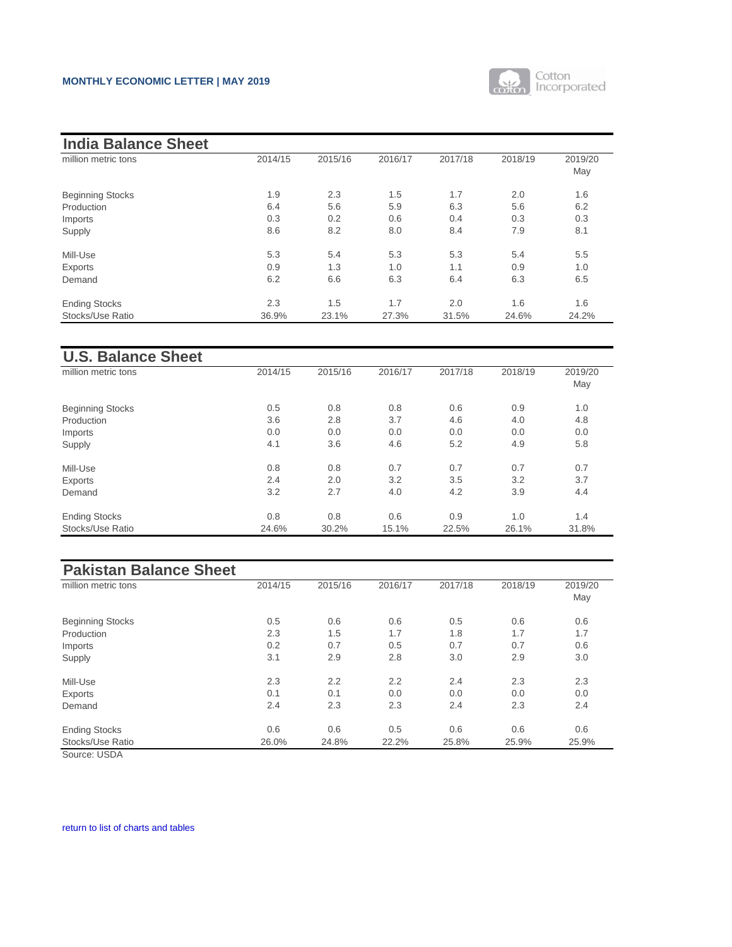

| <b>India Balance Sheet</b> |         |         |         |         |         |                |
|----------------------------|---------|---------|---------|---------|---------|----------------|
| million metric tons        | 2014/15 | 2015/16 | 2016/17 | 2017/18 | 2018/19 | 2019/20<br>May |
| <b>Beginning Stocks</b>    | 1.9     | 2.3     | 1.5     | 1.7     | 2.0     | 1.6            |
| Production                 | 6.4     | 5.6     | 5.9     | 6.3     | 5.6     | 6.2            |
| Imports                    | 0.3     | 0.2     | 0.6     | 0.4     | 0.3     | 0.3            |
| Supply                     | 8.6     | 8.2     | 8.0     | 8.4     | 7.9     | 8.1            |
| Mill-Use                   | 5.3     | 5.4     | 5.3     | 5.3     | 5.4     | 5.5            |
| <b>Exports</b>             | 0.9     | 1.3     | 1.0     | 1.1     | 0.9     | 1.0            |
| Demand                     | 6.2     | 6.6     | 6.3     | 6.4     | 6.3     | 6.5            |
| <b>Ending Stocks</b>       | 2.3     | 1.5     | 1.7     | 2.0     | 1.6     | 1.6            |
| Stocks/Use Ratio           | 36.9%   | 23.1%   | 27.3%   | 31.5%   | 24.6%   | 24.2%          |

| <b>U.S. Balance Sheet</b> |         |         |         |         |         |         |
|---------------------------|---------|---------|---------|---------|---------|---------|
| million metric tons       | 2014/15 | 2015/16 | 2016/17 | 2017/18 | 2018/19 | 2019/20 |
|                           |         |         |         |         |         | May     |
| <b>Beginning Stocks</b>   | 0.5     | 0.8     | 0.8     | 0.6     | 0.9     | 1.0     |
| Production                | 3.6     | 2.8     | 3.7     | 4.6     | 4.0     | 4.8     |
| Imports                   | 0.0     | 0.0     | 0.0     | 0.0     | 0.0     | 0.0     |
| Supply                    | 4.1     | 3.6     | 4.6     | 5.2     | 4.9     | 5.8     |
| Mill-Use                  | 0.8     | 0.8     | 0.7     | 0.7     | 0.7     | 0.7     |
| <b>Exports</b>            | 2.4     | 2.0     | 3.2     | 3.5     | 3.2     | 3.7     |
| Demand                    | 3.2     | 2.7     | 4.0     | 4.2     | 3.9     | 4.4     |
| <b>Ending Stocks</b>      | 0.8     | 0.8     | 0.6     | 0.9     | 1.0     | 1.4     |
| Stocks/Use Ratio          | 24.6%   | 30.2%   | 15.1%   | 22.5%   | 26.1%   | 31.8%   |

| <b>Pakistan Balance Sheet</b> |         |         |         |         |         |                |
|-------------------------------|---------|---------|---------|---------|---------|----------------|
| million metric tons           | 2014/15 | 2015/16 | 2016/17 | 2017/18 | 2018/19 | 2019/20<br>May |
| <b>Beginning Stocks</b>       | 0.5     | 0.6     | 0.6     | 0.5     | 0.6     | 0.6            |
| Production                    | 2.3     | 1.5     | 1.7     | 1.8     | 1.7     | 1.7            |
| Imports                       | 0.2     | 0.7     | 0.5     | 0.7     | 0.7     | 0.6            |
| Supply                        | 3.1     | 2.9     | 2.8     | 3.0     | 2.9     | 3.0            |
| Mill-Use                      | 2.3     | 2.2     | 2.2     | 2.4     | 2.3     | 2.3            |
| <b>Exports</b>                | 0.1     | 0.1     | 0.0     | 0.0     | 0.0     | 0.0            |
| Demand                        | 2.4     | 2.3     | 2.3     | 2.4     | 2.3     | 2.4            |
| <b>Ending Stocks</b>          | 0.6     | 0.6     | 0.5     | 0.6     | 0.6     | 0.6            |
| <b>Stocks/Use Ratio</b>       | 26.0%   | 24.8%   | 22.2%   | 25.8%   | 25.9%   | 25.9%          |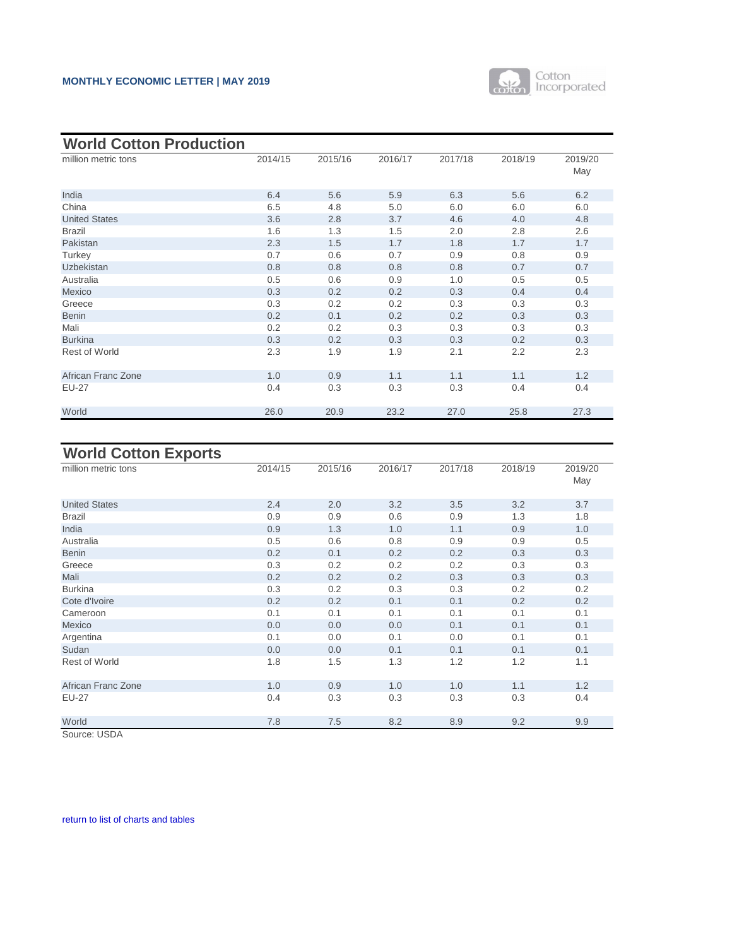

<span id="page-12-0"></span>

| <b>World Cotton Production</b> |         |         |         |         |         |                |
|--------------------------------|---------|---------|---------|---------|---------|----------------|
| million metric tons            | 2014/15 | 2015/16 | 2016/17 | 2017/18 | 2018/19 | 2019/20<br>May |
| India                          | 6.4     | 5.6     | 5.9     | 6.3     | 5.6     | 6.2            |
| China                          | 6.5     | 4.8     | 5.0     | 6.0     | 6.0     | 6.0            |
| <b>United States</b>           | 3.6     | 2.8     | 3.7     | 4.6     | 4.0     | 4.8            |
| <b>Brazil</b>                  | 1.6     | 1.3     | 1.5     | 2.0     | 2.8     | 2.6            |
| Pakistan                       | 2.3     | 1.5     | 1.7     | 1.8     | 1.7     | 1.7            |
| Turkey                         | 0.7     | 0.6     | 0.7     | 0.9     | 0.8     | 0.9            |
| <b>Uzbekistan</b>              | 0.8     | 0.8     | 0.8     | 0.8     | 0.7     | 0.7            |
| Australia                      | 0.5     | 0.6     | 0.9     | 1.0     | 0.5     | 0.5            |
| Mexico                         | 0.3     | 0.2     | 0.2     | 0.3     | 0.4     | 0.4            |
| Greece                         | 0.3     | 0.2     | 0.2     | 0.3     | 0.3     | 0.3            |
| <b>Benin</b>                   | 0.2     | 0.1     | 0.2     | 0.2     | 0.3     | 0.3            |
| Mali                           | 0.2     | 0.2     | 0.3     | 0.3     | 0.3     | 0.3            |
| <b>Burkina</b>                 | 0.3     | 0.2     | 0.3     | 0.3     | 0.2     | 0.3            |
| <b>Rest of World</b>           | 2.3     | 1.9     | 1.9     | 2.1     | 2.2     | 2.3            |
| <b>African Franc Zone</b>      | 1.0     | 0.9     | 1.1     | 1.1     | 1.1     | 1.2            |
| <b>EU-27</b>                   | 0.4     | 0.3     | 0.3     | 0.3     | 0.4     | 0.4            |
| World                          | 26.0    | 20.9    | 23.2    | 27.0    | 25.8    | 27.3           |

| <b>World Cotton Exports</b> |         |         |         |         |         |         |
|-----------------------------|---------|---------|---------|---------|---------|---------|
| million metric tons         | 2014/15 | 2015/16 | 2016/17 | 2017/18 | 2018/19 | 2019/20 |
|                             |         |         |         |         |         | May     |
| <b>United States</b>        | 2.4     | 2.0     | 3.2     | 3.5     | 3.2     | 3.7     |
| <b>Brazil</b>               | 0.9     | 0.9     | 0.6     | 0.9     | 1.3     | 1.8     |
| India                       | 0.9     | 1.3     | 1.0     | 1.1     | 0.9     | 1.0     |
| Australia                   | 0.5     | 0.6     | 0.8     | 0.9     | 0.9     | 0.5     |
| <b>Benin</b>                | 0.2     | 0.1     | 0.2     | 0.2     | 0.3     | 0.3     |
| Greece                      | 0.3     | 0.2     | 0.2     | 0.2     | 0.3     | 0.3     |
| Mali                        | 0.2     | 0.2     | 0.2     | 0.3     | 0.3     | 0.3     |
| <b>Burkina</b>              | 0.3     | 0.2     | 0.3     | 0.3     | 0.2     | 0.2     |
| Cote d'Ivoire               | 0.2     | 0.2     | 0.1     | 0.1     | 0.2     | 0.2     |
| Cameroon                    | 0.1     | 0.1     | 0.1     | 0.1     | 0.1     | 0.1     |
| Mexico                      | 0.0     | 0.0     | 0.0     | 0.1     | 0.1     | 0.1     |
| Argentina                   | 0.1     | 0.0     | 0.1     | 0.0     | 0.1     | 0.1     |
| Sudan                       | 0.0     | 0.0     | 0.1     | 0.1     | 0.1     | 0.1     |
| <b>Rest of World</b>        | 1.8     | 1.5     | 1.3     | 1.2     | 1.2     | 1.1     |
| <b>African Franc Zone</b>   | 1.0     | 0.9     | 1.0     | 1.0     | 1.1     | 1.2     |
| <b>EU-27</b>                | 0.4     | 0.3     | 0.3     | 0.3     | 0.3     | 0.4     |
| World                       | 7.8     | 7.5     | 8.2     | 8.9     | 9.2     | 9.9     |